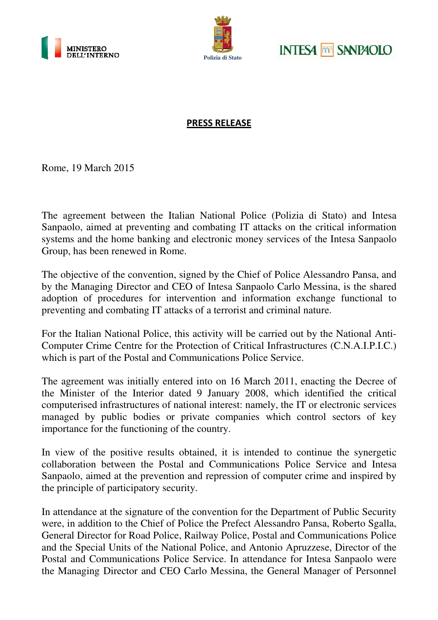





## PRESS RELEASE

Rome, 19 March 2015

The agreement between the Italian National Police (Polizia di Stato) and Intesa Sanpaolo, aimed at preventing and combating IT attacks on the critical information systems and the home banking and electronic money services of the Intesa Sanpaolo Group, has been renewed in Rome.

The objective of the convention, signed by the Chief of Police Alessandro Pansa, and by the Managing Director and CEO of Intesa Sanpaolo Carlo Messina, is the shared adoption of procedures for intervention and information exchange functional to preventing and combating IT attacks of a terrorist and criminal nature.

For the Italian National Police, this activity will be carried out by the National Anti-Computer Crime Centre for the Protection of Critical Infrastructures (C.N.A.I.P.I.C.) which is part of the Postal and Communications Police Service.

The agreement was initially entered into on 16 March 2011, enacting the Decree of the Minister of the Interior dated 9 January 2008, which identified the critical computerised infrastructures of national interest: namely, the IT or electronic services managed by public bodies or private companies which control sectors of key importance for the functioning of the country.

In view of the positive results obtained, it is intended to continue the synergetic collaboration between the Postal and Communications Police Service and Intesa Sanpaolo, aimed at the prevention and repression of computer crime and inspired by the principle of participatory security.

In attendance at the signature of the convention for the Department of Public Security were, in addition to the Chief of Police the Prefect Alessandro Pansa, Roberto Sgalla, General Director for Road Police, Railway Police, Postal and Communications Police and the Special Units of the National Police, and Antonio Apruzzese, Director of the Postal and Communications Police Service. In attendance for Intesa Sanpaolo were the Managing Director and CEO Carlo Messina, the General Manager of Personnel